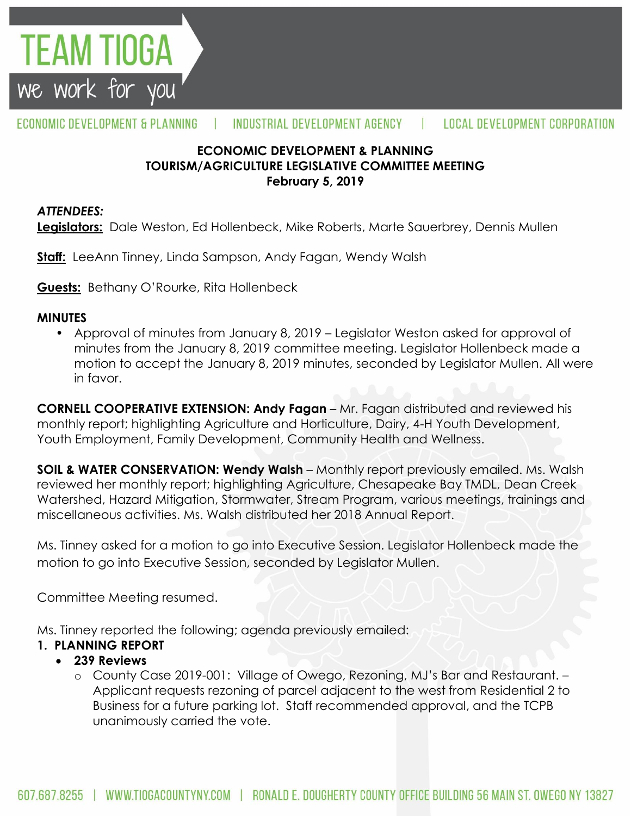

#### **ECONOMIC DEVELOPMENT & PLANNING TOURISM/AGRICULTURE LEGISLATIVE COMMITTEE MEETING February 5, 2019**

#### *ATTENDEES:*

TEAM TIOGA

we work for you

**Legislators:** Dale Weston, Ed Hollenbeck, Mike Roberts, Marte Sauerbrey, Dennis Mullen

**Staff:** LeeAnn Tinney, Linda Sampson, Andy Fagan, Wendy Walsh

**Guests:** Bethany O'Rourke, Rita Hollenbeck

#### **MINUTES**

• Approval of minutes from January 8, 2019 – Legislator Weston asked for approval of minutes from the January 8, 2019 committee meeting. Legislator Hollenbeck made a motion to accept the January 8, 2019 minutes, seconded by Legislator Mullen. All were in favor.

**CORNELL COOPERATIVE EXTENSION: Andy Fagan** – Mr. Fagan distributed and reviewed his monthly report; highlighting Agriculture and Horticulture, Dairy, 4-H Youth Development, Youth Employment, Family Development, Community Health and Wellness.

**SOIL & WATER CONSERVATION: Wendy Walsh** – Monthly report previously emailed. Ms. Walsh reviewed her monthly report; highlighting Agriculture, Chesapeake Bay TMDL, Dean Creek Watershed, Hazard Mitigation, Stormwater, Stream Program, various meetings, trainings and miscellaneous activities. Ms. Walsh distributed her 2018 Annual Report.

Ms. Tinney asked for a motion to go into Executive Session. Legislator Hollenbeck made the motion to go into Executive Session, seconded by Legislator Mullen.

Committee Meeting resumed.

Ms. Tinney reported the following; agenda previously emailed:

### **1. PLANNING REPORT**

#### **239 Reviews**

o County Case 2019-001: Village of Owego, Rezoning, MJ's Bar and Restaurant. – Applicant requests rezoning of parcel adjacent to the west from Residential 2 to Business for a future parking lot. Staff recommended approval, and the TCPB unanimously carried the vote.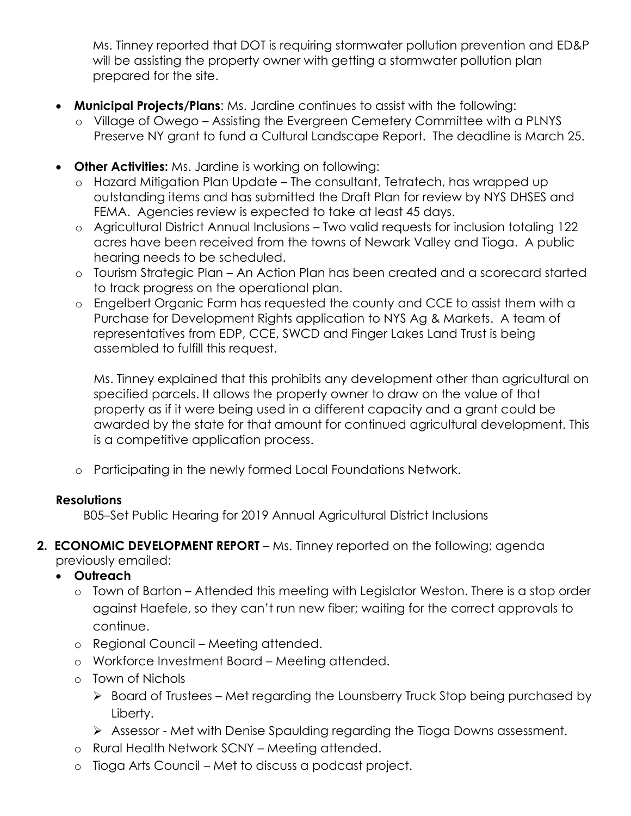Ms. Tinney reported that DOT is requiring stormwater pollution prevention and ED&P will be assisting the property owner with getting a stormwater pollution plan prepared for the site.

- **Municipal Projects/Plans**: Ms. Jardine continues to assist with the following:
	- o Village of Owego Assisting the Evergreen Cemetery Committee with a PLNYS Preserve NY grant to fund a Cultural Landscape Report. The deadline is March 25.
- **Other Activities:** Ms. Jardine is working on following:
	- o Hazard Mitigation Plan Update The consultant, Tetratech, has wrapped up outstanding items and has submitted the Draft Plan for review by NYS DHSES and FEMA. Agencies review is expected to take at least 45 days.
	- o Agricultural District Annual Inclusions Two valid requests for inclusion totaling 122 acres have been received from the towns of Newark Valley and Tioga. A public hearing needs to be scheduled.
	- o Tourism Strategic Plan An Action Plan has been created and a scorecard started to track progress on the operational plan.
	- o Engelbert Organic Farm has requested the county and CCE to assist them with a Purchase for Development Rights application to NYS Ag & Markets. A team of representatives from EDP, CCE, SWCD and Finger Lakes Land Trust is being assembled to fulfill this request.

Ms. Tinney explained that this prohibits any development other than agricultural on specified parcels. It allows the property owner to draw on the value of that property as if it were being used in a different capacity and a grant could be awarded by the state for that amount for continued agricultural development. This is a competitive application process.

o Participating in the newly formed Local Foundations Network.

### **Resolutions**

B05–Set Public Hearing for 2019 Annual Agricultural District Inclusions

**2. ECONOMIC DEVELOPMENT REPORT** – Ms. Tinney reported on the following; agenda previously emailed:

## **Outreach**

- o Town of Barton Attended this meeting with Legislator Weston. There is a stop order against Haefele, so they can't run new fiber; waiting for the correct approvals to continue.
- o Regional Council Meeting attended.
- o Workforce Investment Board Meeting attended.
- o Town of Nichols
	- $\triangleright$  Board of Trustees Met regarding the Lounsberry Truck Stop being purchased by Liberty.
	- Assessor Met with Denise Spaulding regarding the Tioga Downs assessment.
- o Rural Health Network SCNY Meeting attended.
- o Tioga Arts Council Met to discuss a podcast project.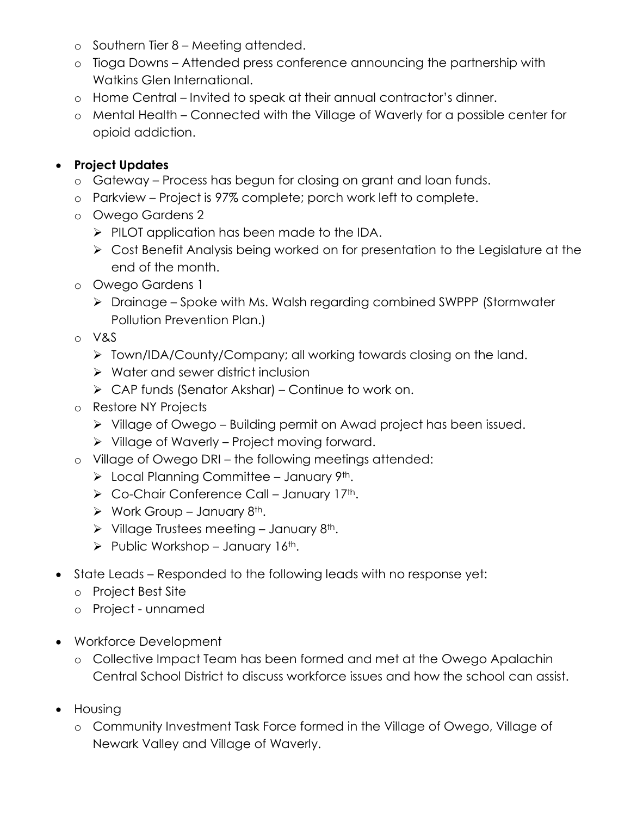- o Southern Tier 8 Meeting attended.
- o Tioga Downs Attended press conference announcing the partnership with Watkins Glen International.
- o Home Central Invited to speak at their annual contractor's dinner.
- o Mental Health Connected with the Village of Waverly for a possible center for opioid addiction.

# **Project Updates**

- o Gateway Process has begun for closing on grant and loan funds.
- o Parkview Project is 97% complete; porch work left to complete.
- o Owego Gardens 2
	- $\triangleright$  PILOT application has been made to the IDA.
	- Cost Benefit Analysis being worked on for presentation to the Legislature at the end of the month.
- o Owego Gardens 1
	- Drainage Spoke with Ms. Walsh regarding combined SWPPP (Stormwater Pollution Prevention Plan.)
- o V&S
	- > Town/IDA/County/Company; all working towards closing on the land.
	- $\triangleright$  Water and sewer district inclusion
	- $\triangleright$  CAP funds (Senator Akshar) Continue to work on.
- o Restore NY Projects
	- $\triangleright$  Village of Owego Building permit on Awad project has been issued.
	- $\triangleright$  Village of Waverly Project moving forward.
- o Village of Owego DRI the following meetings attended:
	- $\triangleright$  Local Planning Committee January 9<sup>th</sup>.
	- $\triangleright$  Co-Chair Conference Call January 17<sup>th</sup>.
	- $\triangleright$  Work Group January 8<sup>th</sup>.
	- $\triangleright$  Village Trustees meeting January 8<sup>th</sup>.
	- $\triangleright$  Public Workshop January 16<sup>th</sup>.
- State Leads Responded to the following leads with no response yet:
	- o Project Best Site
	- o Project unnamed
- Workforce Development
	- o Collective Impact Team has been formed and met at the Owego Apalachin Central School District to discuss workforce issues and how the school can assist.
- **•** Housing
	- o Community Investment Task Force formed in the Village of Owego, Village of Newark Valley and Village of Waverly.